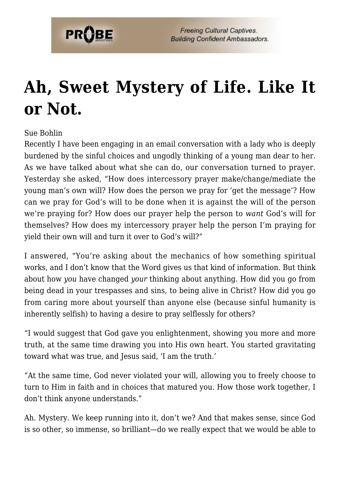

## **[Ah, Sweet Mystery of Life. Like It](https://probe.org/ah-sweet-mystery-of-life-like-it-or-not/) [or Not.](https://probe.org/ah-sweet-mystery-of-life-like-it-or-not/)**

## Sue Bohlin

Recently I have been engaging in an email conversation with a lady who is deeply burdened by the sinful choices and ungodly thinking of a young man dear to her. As we have talked about what she can do, our conversation turned to prayer. Yesterday she asked, "How does intercessory prayer make/change/mediate the young man's own will? How does the person we pray for 'get the message'? How can we pray for God's will to be done when it is against the will of the person we're praying for? How does our prayer help the person to *want* God's will for themselves? How does my intercessory prayer help the person I'm praying for yield their own will and turn it over to God's will?"

I answered, "You're asking about the mechanics of how something spiritual works, and I don't know that the Word gives us that kind of information. But think about how *you* have changed *your* thinking about anything. How did you go from being dead in your trespasses and sins, to being alive in Christ? How did you go from caring more about yourself than anyone else (because sinful humanity is inherently selfish) to having a desire to pray selflessly for others?

"I would suggest that God gave you enlightenment, showing you more and more truth, at the same time drawing you into His own heart. You started gravitating toward what was true, and Jesus said, 'I am the truth.'

"At the same time, God never violated your will, allowing you to freely choose to turn to Him in faith and in choices that matured you. How those work together, I don't think anyone understands."

Ah. Mystery. We keep running into it, don't we? And that makes sense, since God is so other, so immense, so brilliant—do we really expect that we would be able to